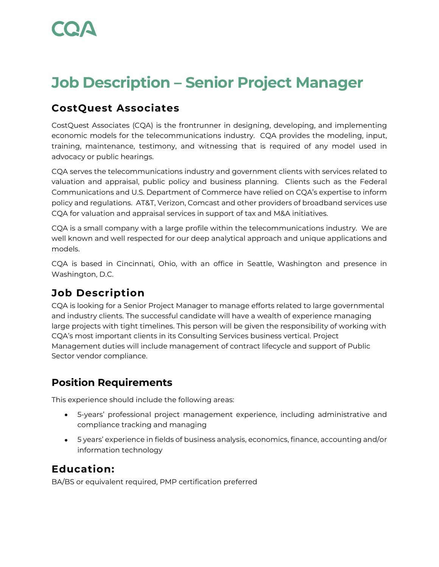# **Job Description – Senior Project Manager**

### **CostQuest Associates**

CostQuest Associates (CQA) is the frontrunner in designing, developing, and implementing economic models for the telecommunications industry. CQA provides the modeling, input, training, maintenance, testimony, and witnessing that is required of any model used in advocacy or public hearings.

CQA serves the telecommunications industry and government clients with services related to valuation and appraisal, public policy and business planning. Clients such as the Federal Communications and U.S. Department of Commerce have relied on CQA's expertise to inform policy and regulations. AT&T, Verizon, Comcast and other providers of broadband services use CQA for valuation and appraisal services in support of tax and M&A initiatives.

CQA is a small company with a large profile within the telecommunications industry. We are well known and well respected for our deep analytical approach and unique applications and models.

CQA is based in Cincinnati, Ohio, with an office in Seattle, Washington and presence in Washington, D.C.

#### **Job Description**

CQA is looking for a Senior Project Manager to manage efforts related to large governmental and industry clients. The successful candidate will have a wealth of experience managing large projects with tight timelines. This person will be given the responsibility of working with CQA's most important clients in its Consulting Services business vertical. Project Management duties will include management of contract lifecycle and support of Public Sector vendor compliance.

#### **Position Requirements**

This experience should include the following areas:

- 5-years' professional project management experience, including administrative and compliance tracking and managing
- 5 years' experience in fields of business analysis, economics, finance, accounting and/or information technology

#### **Education:**

BA/BS or equivalent required, PMP certification preferred